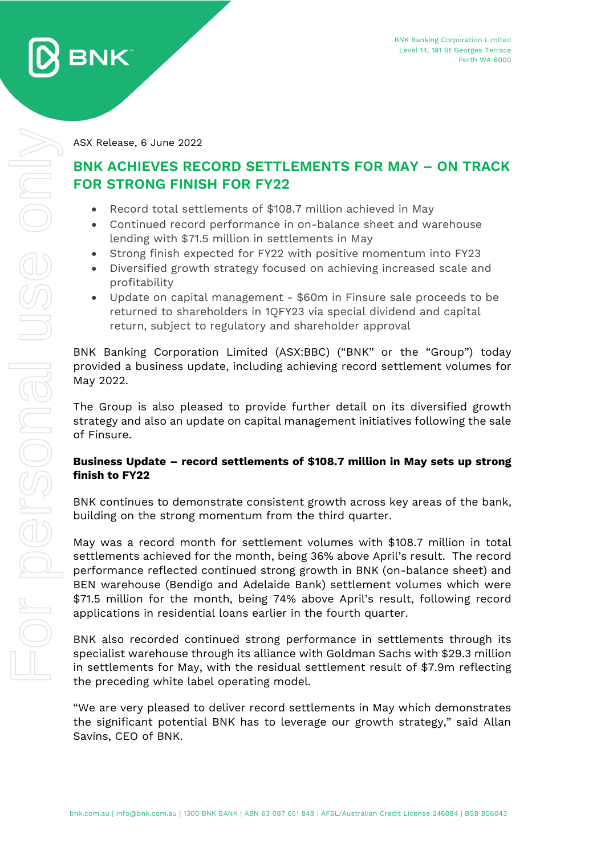

ASX Release, 6 June 2022

# **BNK ACHIEVES RECORD SETTLEMENTS FOR MAY – ON TRACK FOR STRONG FINISH FOR FY22**

- Record total settlements of \$108.7 million achieved in May
- Continued record performance in on-balance sheet and warehouse lending with \$71.5 million in settlements in May
- Strong finish expected for FY22 with positive momentum into FY23
- Diversified growth strategy focused on achieving increased scale and profitability
- Update on capital management \$60m in Finsure sale proceeds to be returned to shareholders in 1QFY23 via special dividend and capital return, subject to regulatory and shareholder approval

BNK Banking Corporation Limited (ASX:BBC) ("BNK" or the "Group") today provided a business update, including achieving record settlement volumes for May 2022.

The Group is also pleased to provide further detail on its diversified growth strategy and also an update on capital management initiatives following the sale of Finsure.

# **Business Update – record settlements of \$108.7 million in May sets up strong finish to FY22**

BNK continues to demonstrate consistent growth across key areas of the bank, building on the strong momentum from the third quarter.

May was a record month for settlement volumes with \$108.7 million in total settlements achieved for the month, being 36% above April's result. The record performance reflected continued strong growth in BNK (on-balance sheet) and BEN warehouse (Bendigo and Adelaide Bank) settlement volumes which were \$71.5 million for the month, being 74% above April's result, following record applications in residential loans earlier in the fourth quarter.

BNK also recorded continued strong performance in settlements through its specialist warehouse through its alliance with Goldman Sachs with \$29.3 million in settlements for May, with the residual settlement result of \$7.9m reflecting the preceding white label operating model.

"We are very pleased to deliver record settlements in May which demonstrates the significant potential BNK has to leverage our growth strategy," said Allan Savins, CEO of BNK.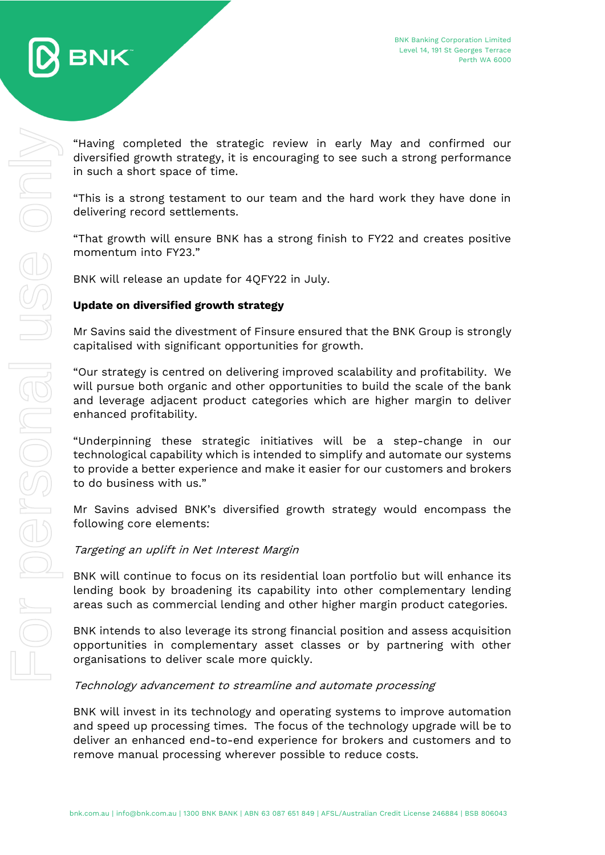

"Having completed the strategic review in early May and confirmed our diversified growth strategy, it is encouraging to see such a strong performance in such a short space of time.

"This is a strong testament to our team and the hard work they have done in delivering record settlements.

"That growth will ensure BNK has a strong finish to FY22 and creates positive momentum into FY23."

BNK will release an update for 4QFY22 in July.

# **Update on diversified growth strategy**

Mr Savins said the divestment of Finsure ensured that the BNK Group is strongly capitalised with significant opportunities for growth.

"Our strategy is centred on delivering improved scalability and profitability. We will pursue both organic and other opportunities to build the scale of the bank and leverage adjacent product categories which are higher margin to deliver enhanced profitability.

"Underpinning these strategic initiatives will be a step-change in our technological capability which is intended to simplify and automate our systems to provide a better experience and make it easier for our customers and brokers to do business with us."

Mr Savins advised BNK's diversified growth strategy would encompass the following core elements:

#### Targeting an uplift in Net Interest Margin

BNK will continue to focus on its residential loan portfolio but will enhance its lending book by broadening its capability into other complementary lending areas such as commercial lending and other higher margin product categories.

BNK intends to also leverage its strong financial position and assess acquisition opportunities in complementary asset classes or by partnering with other organisations to deliver scale more quickly.

#### Technology advancement to streamline and automate processing

BNK will invest in its technology and operating systems to improve automation and speed up processing times. The focus of the technology upgrade will be to deliver an enhanced end-to-end experience for brokers and customers and to remove manual processing wherever possible to reduce costs.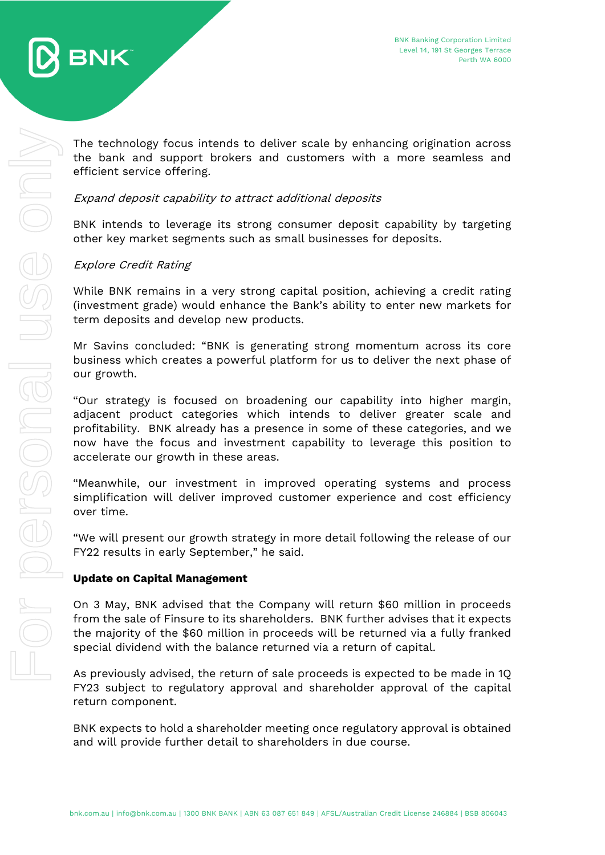



The technology focus intends to deliver scale by enhancing origination across the bank and support brokers and customers with a more seamless and efficient service offering.

# Expand deposit capability to attract additional deposits

BNK intends to leverage its strong consumer deposit capability by targeting other key market segments such as small businesses for deposits.

# Explore Credit Rating

While BNK remains in a very strong capital position, achieving a credit rating (investment grade) would enhance the Bank's ability to enter new markets for term deposits and develop new products.

Mr Savins concluded: "BNK is generating strong momentum across its core business which creates a powerful platform for us to deliver the next phase of our growth.

"Our strategy is focused on broadening our capability into higher margin, adjacent product categories which intends to deliver greater scale and profitability. BNK already has a presence in some of these categories, and we now have the focus and investment capability to leverage this position to accelerate our growth in these areas.

"Meanwhile, our investment in improved operating systems and process simplification will deliver improved customer experience and cost efficiency over time.

"We will present our growth strategy in more detail following the release of our FY22 results in early September," he said.

#### **Update on Capital Management**

On 3 May, BNK advised that the Company will return \$60 million in proceeds from the sale of Finsure to its shareholders. BNK further advises that it expects the majority of the \$60 million in proceeds will be returned via a fully franked special dividend with the balance returned via a return of capital.

As previously advised, the return of sale proceeds is expected to be made in 1Q FY23 subject to regulatory approval and shareholder approval of the capital return component.

BNK expects to hold a shareholder meeting once regulatory approval is obtained and will provide further detail to shareholders in due course.